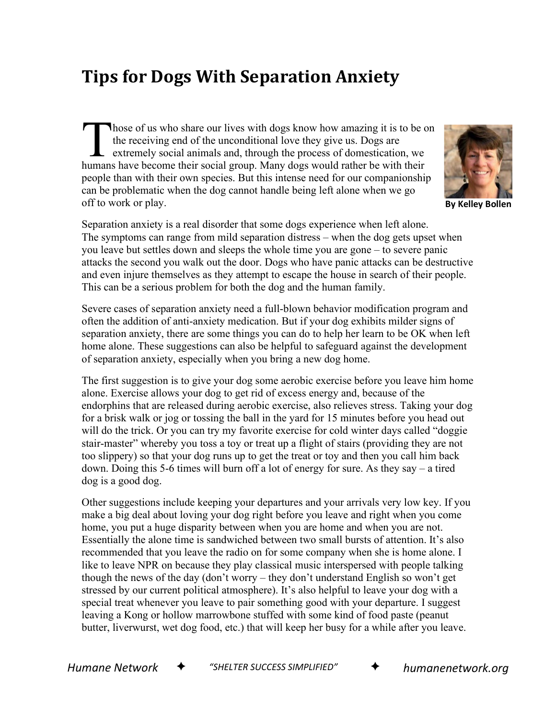## **Tips for Dogs With Separation Anxiety**

hose of us who share our lives with dogs know how amazing it is to be on the receiving end of the unconditional love they give us. Dogs are extremely social animals and, through the process of domestication, we hose of us who share our lives with dogs know how amazing it is to be the receiving end of the unconditional love they give us. Dogs are extremely social animals and, through the process of domestication, we humans have be people than with their own species. But this intense need for our companionship can be problematic when the dog cannot handle being left alone when we go off to work or play.



**By Kelley Bollen**

Separation anxiety is a real disorder that some dogs experience when left alone. The symptoms can range from mild separation distress – when the dog gets upset when you leave but settles down and sleeps the whole time you are gone – to severe panic attacks the second you walk out the door. Dogs who have panic attacks can be destructive and even injure themselves as they attempt to escape the house in search of their people. This can be a serious problem for both the dog and the human family.

Severe cases of separation anxiety need a full-blown behavior modification program and often the addition of anti-anxiety medication. But if your dog exhibits milder signs of separation anxiety, there are some things you can do to help her learn to be OK when left home alone. These suggestions can also be helpful to safeguard against the development of separation anxiety, especially when you bring a new dog home.

The first suggestion is to give your dog some aerobic exercise before you leave him home alone. Exercise allows your dog to get rid of excess energy and, because of the endorphins that are released during aerobic exercise, also relieves stress. Taking your dog for a brisk walk or jog or tossing the ball in the yard for 15 minutes before you head out will do the trick. Or you can try my favorite exercise for cold winter days called "doggie stair-master" whereby you toss a toy or treat up a flight of stairs (providing they are not too slippery) so that your dog runs up to get the treat or toy and then you call him back down. Doing this 5-6 times will burn off a lot of energy for sure. As they say – a tired dog is a good dog.

Other suggestions include keeping your departures and your arrivals very low key. If you make a big deal about loving your dog right before you leave and right when you come home, you put a huge disparity between when you are home and when you are not. Essentially the alone time is sandwiched between two small bursts of attention. It's also recommended that you leave the radio on for some company when she is home alone. I like to leave NPR on because they play classical music interspersed with people talking though the news of the day (don't worry – they don't understand English so won't get stressed by our current political atmosphere). It's also helpful to leave your dog with a special treat whenever you leave to pair something good with your departure. I suggest leaving a Kong or hollow marrowbone stuffed with some kind of food paste (peanut butter, liverwurst, wet dog food, etc.) that will keep her busy for a while after you leave.

*Humane Network* ✦ *"SHELTER SUCCESS SIMPLIFIED"* ✦ *humanenetwork.org*